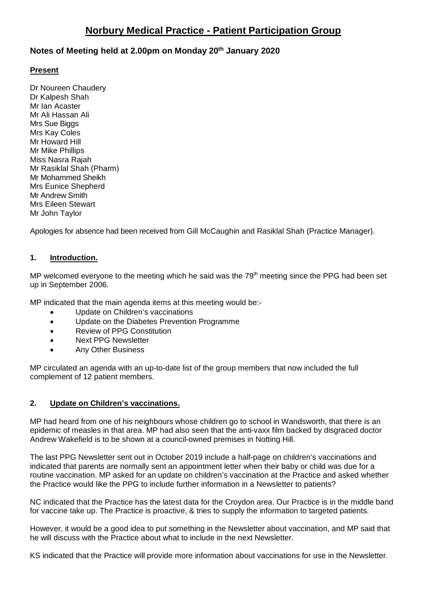# **Norbury Medical Practice - Patient Participation Group**

# **Notes of Meeting held at 2.00pm on Monday 20th January 2020**

#### **Present**

Dr Noureen Chaudery Dr Kalpesh Shah Mr Ian Acaster Mr Ali Hassan Ali Mrs Sue Biggs Mrs Kay Coles Mr Howard Hill Mr Mike Phillips Miss Nasra Rajah Mr Rasiklal Shah (Pharm) Mr Mohammed Sheikh Mrs Eunice Shepherd Mr Andrew Smith Mrs Eileen Stewart Mr John Taylor

Apologies for absence had been received from Gill McCaughin and Rasiklal Shah (Practice Manager).

#### **1. Introduction.**

MP welcomed everyone to the meeting which he said was the  $79<sup>th</sup>$  meeting since the PPG had been set up in September 2006.

MP indicated that the main agenda items at this meeting would be:-

- Update on Children's vaccinations
- Update on the Diabetes Prevention Programme
- Review of PPG Constitution
- Next PPG Newsletter
- Any Other Business

MP circulated an agenda with an up-to-date list of the group members that now included the full complement of 12 patient members.

#### **2. Update on Children's vaccinations.**

MP had heard from one of his neighbours whose children go to school in Wandsworth, that there is an epidemic of measles in that area. MP had also seen that the anti-vaxx film backed by disgraced doctor Andrew Wakefield is to be shown at a council-owned premises in Notting Hill.

The last PPG Newsletter sent out in October 2019 include a half-page on children's vaccinations and indicated that parents are normally sent an appointment letter when their baby or child was due for a routine vaccination. MP asked for an update on children's vaccination at the Practice and asked whether the Practice would like the PPG to include further information in a Newsletter to patients?

NC indicated that the Practice has the latest data for the Croydon area. Our Practice is in the middle band for vaccine take up. The Practice is proactive, & tries to supply the information to targeted patients.

However, it would be a good idea to put something in the Newsletter about vaccination, and MP said that he will discuss with the Practice about what to include in the next Newsletter.

KS indicated that the Practice will provide more information about vaccinations for use in the Newsletter.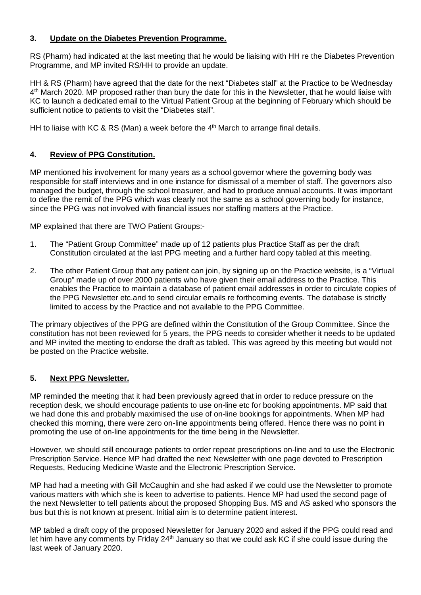#### **3. Update on the Diabetes Prevention Programme.**

RS (Pharm) had indicated at the last meeting that he would be liaising with HH re the Diabetes Prevention Programme, and MP invited RS/HH to provide an update.

HH & RS (Pharm) have agreed that the date for the next "Diabetes stall" at the Practice to be Wednesday 4<sup>th</sup> March 2020. MP proposed rather than bury the date for this in the Newsletter, that he would liaise with KC to launch a dedicated email to the Virtual Patient Group at the beginning of February which should be sufficient notice to patients to visit the "Diabetes stall".

HH to liaise with KC & RS (Man) a week before the  $4<sup>th</sup>$  March to arrange final details.

# **4. Review of PPG Constitution.**

MP mentioned his involvement for many years as a school governor where the governing body was responsible for staff interviews and in one instance for dismissal of a member of staff. The governors also managed the budget, through the school treasurer, and had to produce annual accounts. It was important to define the remit of the PPG which was clearly not the same as a school governing body for instance, since the PPG was not involved with financial issues nor staffing matters at the Practice.

MP explained that there are TWO Patient Groups:-

- 1. The "Patient Group Committee" made up of 12 patients plus Practice Staff as per the draft Constitution circulated at the last PPG meeting and a further hard copy tabled at this meeting.
- 2. The other Patient Group that any patient can join, by signing up on the Practice website, is a "Virtual Group" made up of over 2000 patients who have given their email address to the Practice. This enables the Practice to maintain a database of patient email addresses in order to circulate copies of the PPG Newsletter etc.and to send circular emails re forthcoming events. The database is strictly limited to access by the Practice and not available to the PPG Committee.

The primary objectives of the PPG are defined within the Constitution of the Group Committee. Since the constitution has not been reviewed for 5 years, the PPG needs to consider whether it needs to be updated and MP invited the meeting to endorse the draft as tabled. This was agreed by this meeting but would not be posted on the Practice website.

# **5. Next PPG Newsletter.**

MP reminded the meeting that it had been previously agreed that in order to reduce pressure on the reception desk, we should encourage patients to use on-line etc for booking appointments. MP said that we had done this and probably maximised the use of on-line bookings for appointments. When MP had checked this morning, there were zero on-line appointments being offered. Hence there was no point in promoting the use of on-line appointments for the time being in the Newsletter.

However, we should still encourage patients to order repeat prescriptions on-line and to use the Electronic Prescription Service. Hence MP had drafted the next Newsletter with one page devoted to Prescription Requests, Reducing Medicine Waste and the Electronic Prescription Service.

MP had had a meeting with Gill McCaughin and she had asked if we could use the Newsletter to promote various matters with which she is keen to advertise to patients. Hence MP had used the second page of the next Newsletter to tell patients about the proposed Shopping Bus. MS and AS asked who sponsors the bus but this is not known at present. Initial aim is to determine patient interest.

MP tabled a draft copy of the proposed Newsletter for January 2020 and asked if the PPG could read and let him have any comments by Friday 24<sup>th</sup> January so that we could ask KC if she could issue during the last week of January 2020.